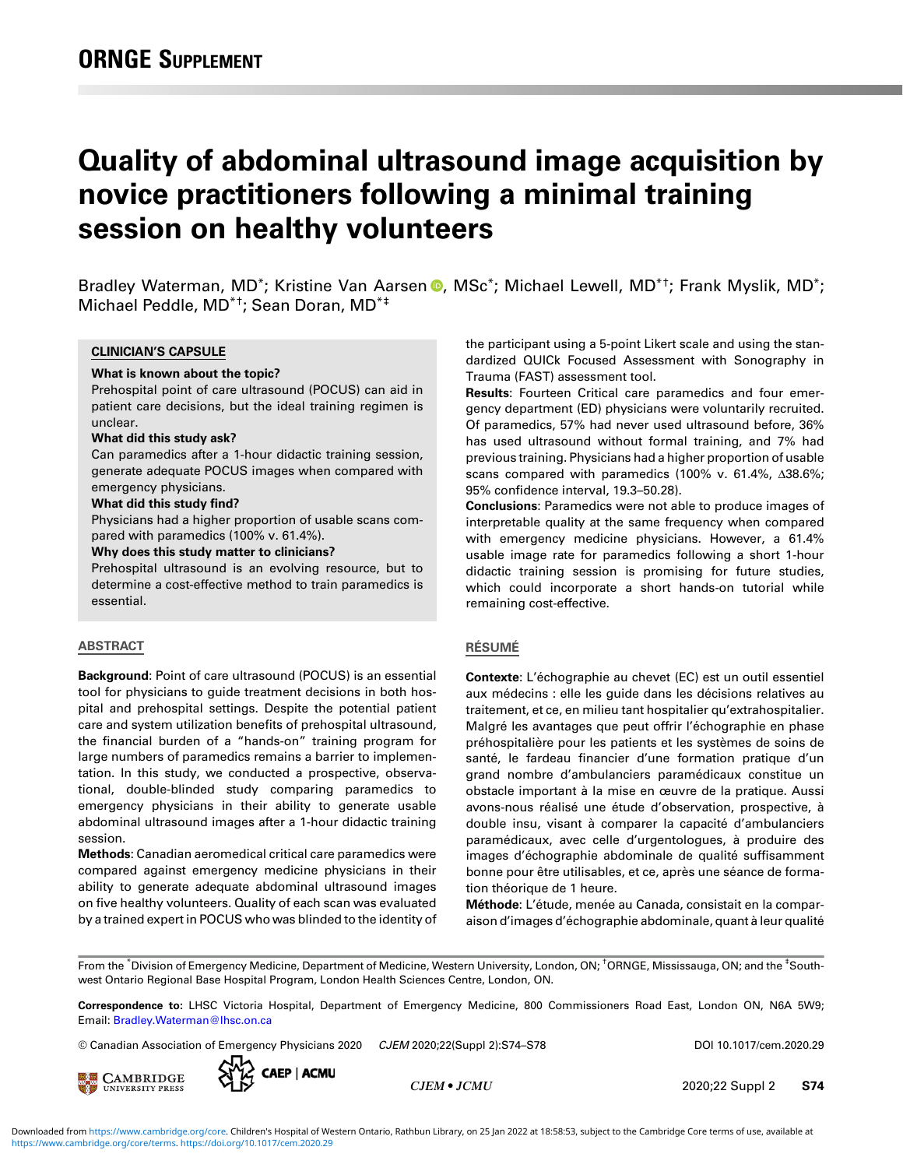# Quality of abdominal ultrasound image acquisition by novice practitioners following a minimal training session on healthy volunteers

Bradley Waterman, MD<sup>\*</sup>; Kristine Van Aarsen <sup>®</sup>, MSc<sup>\*</sup>; Michael Lewell, MD<sup>\*†</sup>; Frank Myslik, MD<sup>\*</sup>; Michael Peddle, MD\*†; Sean Doran, MD\*‡

#### CLINICIAN'S CAPSULE

#### What is known about the topic?

Prehospital point of care ultrasound (POCUS) can aid in patient care decisions, but the ideal training regimen is unclear.

#### What did this study ask?

Can paramedics after a 1-hour didactic training session, generate adequate POCUS images when compared with emergency physicians.

#### What did this study find?

Physicians had a higher proportion of usable scans compared with paramedics (100% v. 61.4%).

#### Why does this study matter to clinicians?

Prehospital ultrasound is an evolving resource, but to determine a cost-effective method to train paramedics is essential.

## ABSTRACT

Background: Point of care ultrasound (POCUS) is an essential tool for physicians to guide treatment decisions in both hospital and prehospital settings. Despite the potential patient care and system utilization benefits of prehospital ultrasound, the financial burden of a "hands-on" training program for large numbers of paramedics remains a barrier to implementation. In this study, we conducted a prospective, observational, double-blinded study comparing paramedics to emergency physicians in their ability to generate usable abdominal ultrasound images after a 1-hour didactic training session.

Methods: Canadian aeromedical critical care paramedics were compared against emergency medicine physicians in their ability to generate adequate abdominal ultrasound images on five healthy volunteers. Quality of each scan was evaluated by a trained expert in POCUS who was blinded to the identity of the participant using a 5-point Likert scale and using the standardized QUICk Focused Assessment with Sonography in Trauma (FAST) assessment tool.

Results: Fourteen Critical care paramedics and four emergency department (ED) physicians were voluntarily recruited. Of paramedics, 57% had never used ultrasound before, 36% has used ultrasound without formal training, and 7% had previous training. Physicians had a higher proportion of usable scans compared with paramedics (100% v. 61.4%, Δ38.6%; 95% confidence interval, 19.3–50.28).

Conclusions: Paramedics were not able to produce images of interpretable quality at the same frequency when compared with emergency medicine physicians. However, a 61.4% usable image rate for paramedics following a short 1-hour didactic training session is promising for future studies, which could incorporate a short hands-on tutorial while remaining cost-effective.

## RÉSUMÉ

Contexte: L'échographie au chevet (EC) est un outil essentiel aux médecins : elle les guide dans les décisions relatives au traitement, et ce, en milieu tant hospitalier qu'extrahospitalier. Malgré les avantages que peut offrir l'échographie en phase préhospitalière pour les patients et les systèmes de soins de santé, le fardeau financier d'une formation pratique d'un grand nombre d'ambulanciers paramédicaux constitue un obstacle important à la mise en œuvre de la pratique. Aussi avons-nous réalisé une étude d'observation, prospective, à double insu, visant à comparer la capacité d'ambulanciers paramédicaux, avec celle d'urgentologues, à produire des images d'échographie abdominale de qualité suffisamment bonne pour être utilisables, et ce, après une séance de formation théorique de 1 heure.

Méthode: L'étude, menée au Canada, consistait en la comparaison d'images d'échographie abdominale, quant à leur qualité

From the \*Division of Emergency Medicine, Department of Medicine, Western University, London, ON; †ORNGE, Mississauga, ON; and the <sup>‡</sup>Southwest Ontario Regional Base Hospital Program, London Health Sciences Centre, London, ON.

Correspondence to: LHSC Victoria Hospital, Department of Emergency Medicine, 800 Commissioners Road East, London ON, N6A 5W9; Email: [Bradley.Waterman@lhsc.on.ca](mailto:Bradley.Waterman@lhsc.on.ca)

© Canadian Association of Emergency Physicians 2020 CJEM 2020;22(Suppl 2):S74–S78 DOI 10.1017/cem.2020.29





CJEM • JCMU 2020;22 Suppl 2 S74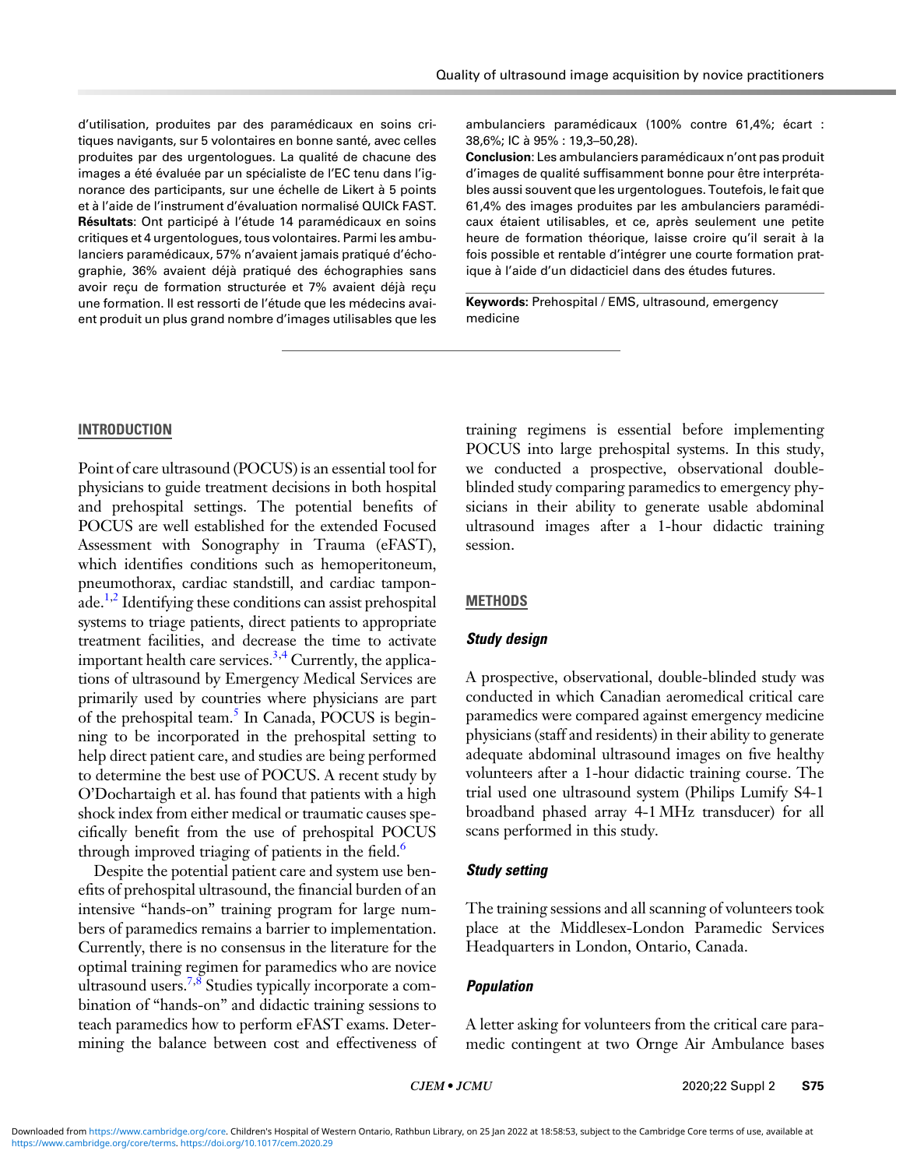d'utilisation, produites par des paramédicaux en soins critiques navigants, sur 5 volontaires en bonne santé, avec celles produites par des urgentologues. La qualité de chacune des images a été évaluée par un spécialiste de l'EC tenu dans l'ignorance des participants, sur une échelle de Likert à 5 points et à l'aide de l'instrument d'évaluation normalisé QUICk FAST. Résultats: Ont participé à l'étude 14 paramédicaux en soins critiques et 4 urgentologues, tous volontaires. Parmi les ambulanciers paramédicaux, 57% n'avaient jamais pratiqué d'échographie, 36% avaient déjà pratiqué des échographies sans avoir reçu de formation structurée et 7% avaient déjà reçu une formation. Il est ressorti de l'étude que les médecins avaient produit un plus grand nombre d'images utilisables que les ambulanciers paramédicaux (100% contre 61,4%; écart : 38,6%; IC à 95% : 19,3–50,28).

Conclusion: Les ambulanciers paramédicaux n'ont pas produit d'images de qualité suffisamment bonne pour être interprétables aussi souvent que les urgentologues. Toutefois, le fait que 61,4% des images produites par les ambulanciers paramédicaux étaient utilisables, et ce, après seulement une petite heure de formation théorique, laisse croire qu'il serait à la fois possible et rentable d'intégrer une courte formation pratique à l'aide d'un didacticiel dans des études futures.

Keywords: Prehospital / EMS, ultrasound, emergency medicine

# INTRODUCTION

Point of care ultrasound (POCUS) is an essential tool for physicians to guide treatment decisions in both hospital and prehospital settings. The potential benefits of POCUS are well established for the extended Focused Assessment with Sonography in Trauma (eFAST), which identifies conditions such as hemoperitoneum, pneumothorax, cardiac standstill, and cardiac tampon $a$ de.<sup>[1,2](#page-4-0)</sup> Identifying these conditions can assist prehospital systems to triage patients, direct patients to appropriate treatment facilities, and decrease the time to activate important health care services.<sup>[3,4](#page-4-0)</sup> Currently, the applications of ultrasound by Emergency Medical Services are primarily used by countries where physicians are part of the prehospital team.<sup>5</sup> In Canada, POCUS is beginning to be incorporated in the prehospital setting to help direct patient care, and studies are being performed to determine the best use of POCUS. A recent study by O'Dochartaigh et al. has found that patients with a high shock index from either medical or traumatic causes specifically benefit from the use of prehospital POCUS through improved triaging of patients in the field. $6$ 

Despite the potential patient care and system use benefits of prehospital ultrasound, the financial burden of an intensive "hands-on" training program for large numbers of paramedics remains a barrier to implementation. Currently, there is no consensus in the literature for the optimal training regimen for paramedics who are novice ultrasound users.<sup>[7,8](#page-4-0)</sup> Studies typically incorporate a combination of "hands-on" and didactic training sessions to teach paramedics how to perform eFAST exams. Determining the balance between cost and effectiveness of training regimens is essential before implementing POCUS into large prehospital systems. In this study, we conducted a prospective, observational doubleblinded study comparing paramedics to emergency physicians in their ability to generate usable abdominal ultrasound images after a 1-hour didactic training session.

# **METHODS**

# Study design

A prospective, observational, double-blinded study was conducted in which Canadian aeromedical critical care paramedics were compared against emergency medicine physicians (staff and residents) in their ability to generate adequate abdominal ultrasound images on five healthy volunteers after a 1-hour didactic training course. The trial used one ultrasound system (Philips Lumify S4-1 broadband phased array 4-1 MHz transducer) for all scans performed in this study.

# Study setting

The training sessions and all scanning of volunteers took place at the Middlesex-London Paramedic Services Headquarters in London, Ontario, Canada.

# Population

A letter asking for volunteers from the critical care paramedic contingent at two Ornge Air Ambulance bases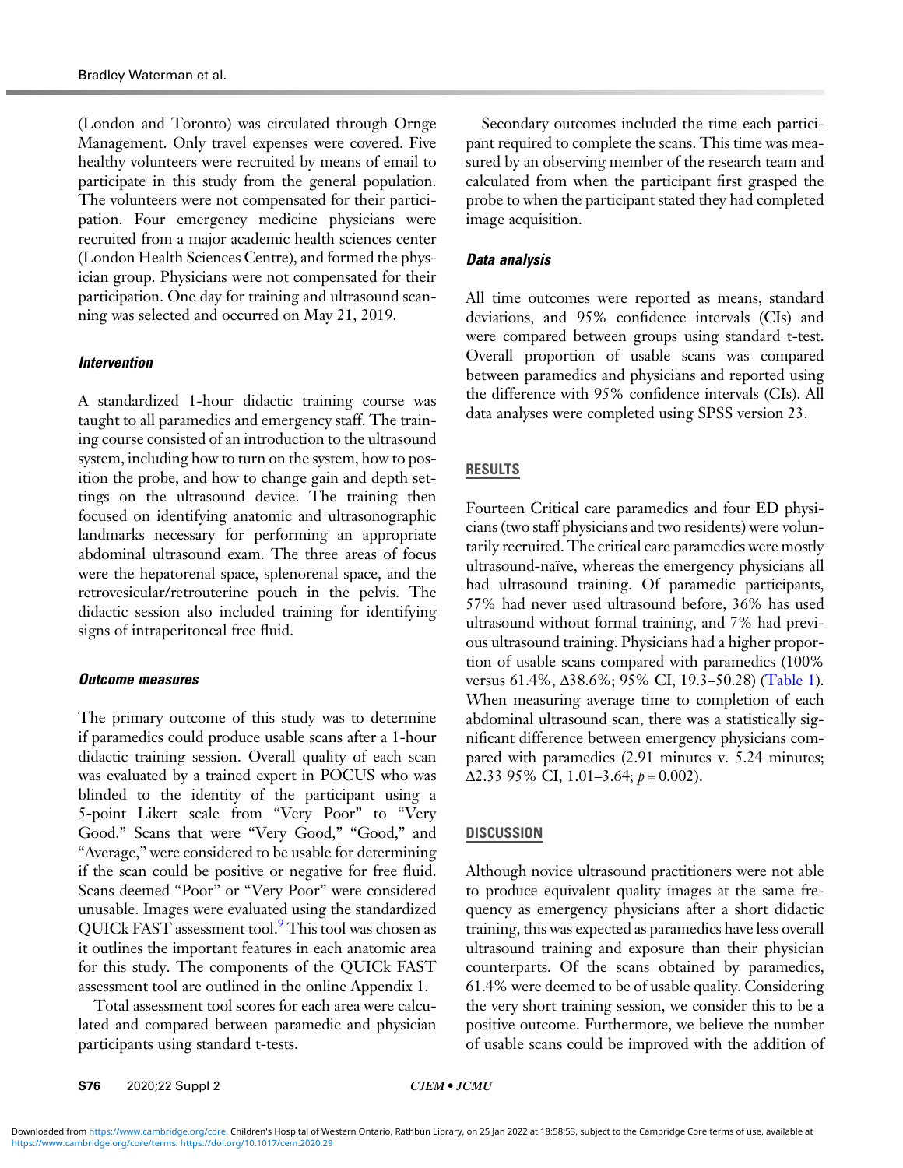(London and Toronto) was circulated through Ornge Management. Only travel expenses were covered. Five healthy volunteers were recruited by means of email to participate in this study from the general population. The volunteers were not compensated for their participation. Four emergency medicine physicians were recruited from a major academic health sciences center (London Health Sciences Centre), and formed the physician group. Physicians were not compensated for their participation. One day for training and ultrasound scanning was selected and occurred on May 21, 2019.

# Intervention

A standardized 1-hour didactic training course was taught to all paramedics and emergency staff. The training course consisted of an introduction to the ultrasound system, including how to turn on the system, how to position the probe, and how to change gain and depth settings on the ultrasound device. The training then focused on identifying anatomic and ultrasonographic landmarks necessary for performing an appropriate abdominal ultrasound exam. The three areas of focus were the hepatorenal space, splenorenal space, and the retrovesicular/retrouterine pouch in the pelvis. The didactic session also included training for identifying signs of intraperitoneal free fluid.

## Outcome measures

The primary outcome of this study was to determine if paramedics could produce usable scans after a 1-hour didactic training session. Overall quality of each scan was evaluated by a trained expert in POCUS who was blinded to the identity of the participant using a 5-point Likert scale from "Very Poor" to "Very Good." Scans that were "Very Good," "Good," and "Average," were considered to be usable for determining if the scan could be positive or negative for free fluid. Scans deemed "Poor" or "Very Poor" were considered unusable. Images were evaluated using the standardized QUICk FAST assessment tool.<sup>[9](#page-4-0)</sup> This tool was chosen as it outlines the important features in each anatomic area for this study. The components of the QUICk FAST assessment tool are outlined in the online Appendix 1.

Total assessment tool scores for each area were calculated and compared between paramedic and physician participants using standard t-tests.

Secondary outcomes included the time each participant required to complete the scans. This time was measured by an observing member of the research team and calculated from when the participant first grasped the probe to when the participant stated they had completed image acquisition.

# Data analysis

All time outcomes were reported as means, standard deviations, and 95% confidence intervals (CIs) and were compared between groups using standard t-test. Overall proportion of usable scans was compared between paramedics and physicians and reported using the difference with 95% confidence intervals (CIs). All data analyses were completed using SPSS version 23.

# RESULTS

Fourteen Critical care paramedics and four ED physicians (two staff physicians and two residents) were voluntarily recruited. The critical care paramedics were mostly ultrasound-naïve, whereas the emergency physicians all had ultrasound training. Of paramedic participants, 57% had never used ultrasound before, 36% has used ultrasound without formal training, and 7% had previous ultrasound training. Physicians had a higher proportion of usable scans compared with paramedics (100% versus 61.4%, Δ38.6%; 95% CI, 19.3–50.28) [\(Table 1](#page-3-0)). When measuring average time to completion of each abdominal ultrasound scan, there was a statistically significant difference between emergency physicians compared with paramedics  $(2.91 \text{ minutes} \text{ v. } 5.24 \text{ minutes})$ ;  $\Delta$ 2.33 95% CI, 1.01–3.64;  $p = 0.002$ ).

# **DISCUSSION**

Although novice ultrasound practitioners were not able to produce equivalent quality images at the same frequency as emergency physicians after a short didactic training, this was expected as paramedics have less overall ultrasound training and exposure than their physician counterparts. Of the scans obtained by paramedics, 61.4% were deemed to be of usable quality. Considering the very short training session, we consider this to be a positive outcome. Furthermore, we believe the number of usable scans could be improved with the addition of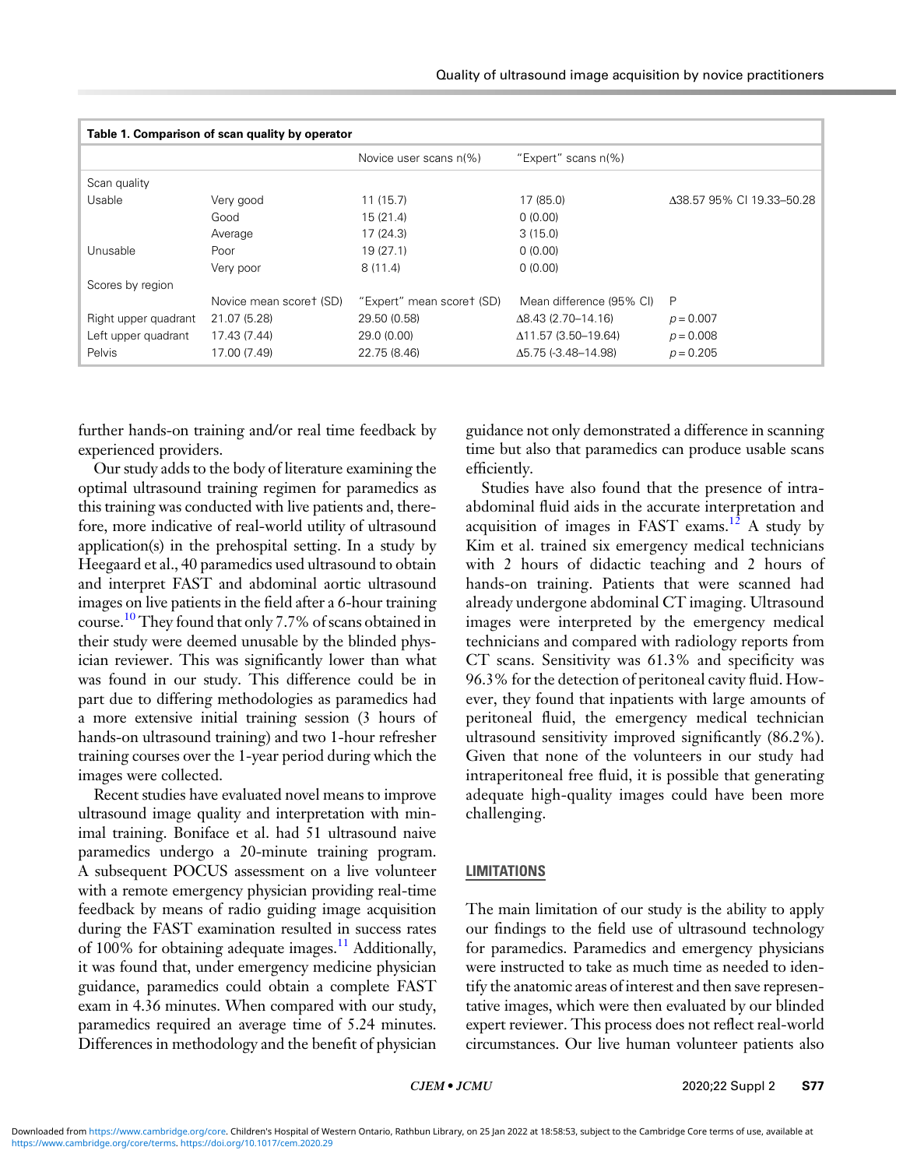<span id="page-3-0"></span>

| Table 1. Comparison of scan quality by operator |                         |                           |                             |                           |
|-------------------------------------------------|-------------------------|---------------------------|-----------------------------|---------------------------|
|                                                 |                         | Novice user scans n(%)    | "Expert" scans n(%)         |                           |
| Scan quality                                    |                         |                           |                             |                           |
| Usable                                          | Very good               | 11(15.7)                  | 17 (85.0)                   | Δ38.57 95% CI 19.33-50.28 |
|                                                 | Good                    | 15(21.4)                  | 0(0.00)                     |                           |
|                                                 | Average                 | 17(24.3)                  | 3(15.0)                     |                           |
| Unusable                                        | Poor                    | 19(27.1)                  | 0(0.00)                     |                           |
|                                                 | Very poor               | 8(11.4)                   | 0(0.00)                     |                           |
| Scores by region                                |                         |                           |                             |                           |
|                                                 | Novice mean scoret (SD) | "Expert" mean scoret (SD) | Mean difference (95% CI)    | P                         |
| Right upper quadrant                            | 21.07 (5.28)            | 29.50 (0.58)              | $\Delta$ 8.43 (2.70–14.16)  | $p = 0.007$               |
| Left upper quadrant                             | 17.43 (7.44)            | 29.0 (0.00)               | $\Delta$ 11.57 (3.50–19.64) | $p = 0.008$               |
| Pelvis                                          | 17.00 (7.49)            | 22.75 (8.46)              | $\Delta$ 5.75 (-3.48–14.98) | $p = 0.205$               |

further hands-on training and/or real time feedback by experienced providers.

Our study adds to the body of literature examining the optimal ultrasound training regimen for paramedics as this training was conducted with live patients and, therefore, more indicative of real-world utility of ultrasound application(s) in the prehospital setting. In a study by Heegaard et al., 40 paramedics used ultrasound to obtain and interpret FAST and abdominal aortic ultrasound images on live patients in the field after a 6-hour training course.<sup>10</sup> They found that only 7.7% of scans obtained in their study were deemed unusable by the blinded physician reviewer. This was significantly lower than what was found in our study. This difference could be in part due to differing methodologies as paramedics had a more extensive initial training session (3 hours of hands-on ultrasound training) and two 1-hour refresher training courses over the 1-year period during which the images were collected.

Recent studies have evaluated novel means to improve ultrasound image quality and interpretation with minimal training. Boniface et al. had 51 ultrasound naive paramedics undergo a 20-minute training program. A subsequent POCUS assessment on a live volunteer with a remote emergency physician providing real-time feedback by means of radio guiding image acquisition during the FAST examination resulted in success rates of 100% for obtaining adequate images.<sup>[11](#page-4-0)</sup> Additionally, it was found that, under emergency medicine physician guidance, paramedics could obtain a complete FAST exam in 4.36 minutes. When compared with our study, paramedics required an average time of 5.24 minutes. Differences in methodology and the benefit of physician

guidance not only demonstrated a difference in scanning time but also that paramedics can produce usable scans efficiently.

Studies have also found that the presence of intraabdominal fluid aids in the accurate interpretation and acquisition of images in FAST exams.<sup>[12](#page-4-0)</sup> A study by Kim et al. trained six emergency medical technicians with 2 hours of didactic teaching and 2 hours of hands-on training. Patients that were scanned had already undergone abdominal CT imaging. Ultrasound images were interpreted by the emergency medical technicians and compared with radiology reports from CT scans. Sensitivity was 61.3% and specificity was 96.3% for the detection of peritoneal cavity fluid. However, they found that inpatients with large amounts of peritoneal fluid, the emergency medical technician ultrasound sensitivity improved significantly (86.2%). Given that none of the volunteers in our study had intraperitoneal free fluid, it is possible that generating adequate high-quality images could have been more challenging.

## LIMITATIONS

The main limitation of our study is the ability to apply our findings to the field use of ultrasound technology for paramedics. Paramedics and emergency physicians were instructed to take as much time as needed to identify the anatomic areas of interest and then save representative images, which were then evaluated by our blinded expert reviewer. This process does not reflect real-world circumstances. Our live human volunteer patients also